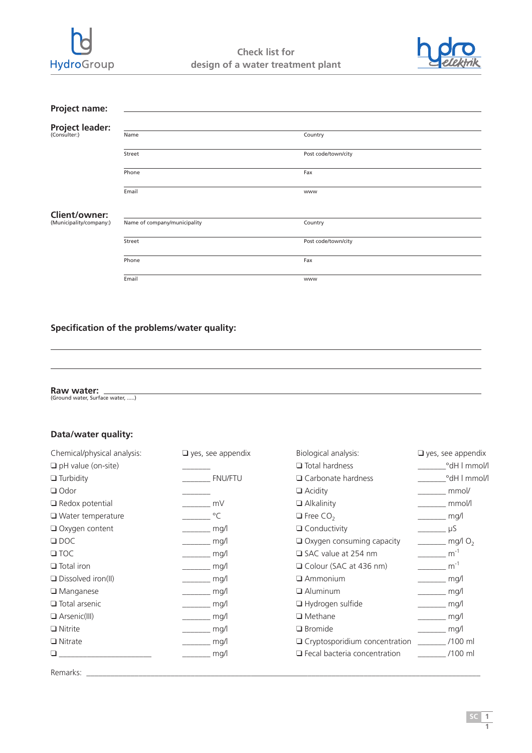



| Project name:                          |                              |                     |  |
|----------------------------------------|------------------------------|---------------------|--|
|                                        |                              |                     |  |
| <b>Project leader:</b><br>(Consulter:) | Name                         | Country             |  |
|                                        | Street                       | Post code/town/city |  |
|                                        | Phone                        | Fax                 |  |
|                                        | Email                        | www                 |  |
| Client/owner:                          |                              |                     |  |
| (Municipality/company:)                | Name of company/municipality | Country             |  |
|                                        | Street                       | Post code/town/city |  |
|                                        | Phone                        | Fax                 |  |
|                                        | Email                        | <b>WWW</b>          |  |

## **Specification of the problems/water quality:**

**Raw water:** (Ground water, Surface water, .....)

## **Data/water quality:**

| Chemical/physical analysis: | $\Box$ yes, see appendix           | Biological analysis:                 | $\Box$ yes, see appendix                                                                                                                                                                                                                                                                                                                                                                                                                                                        |
|-----------------------------|------------------------------------|--------------------------------------|---------------------------------------------------------------------------------------------------------------------------------------------------------------------------------------------------------------------------------------------------------------------------------------------------------------------------------------------------------------------------------------------------------------------------------------------------------------------------------|
| $\Box$ pH value (on-site)   |                                    | $\Box$ Total hardness                | <sup>o</sup> dH   mmol/l                                                                                                                                                                                                                                                                                                                                                                                                                                                        |
| $\Box$ Turbidity            | <b>FNU/FTU</b>                     | $\Box$ Carbonate hardness            | <sup>o</sup> dH   mmol/l                                                                                                                                                                                                                                                                                                                                                                                                                                                        |
| $\Box$ Odor                 |                                    | $\Box$ Acidity                       | mmol/                                                                                                                                                                                                                                                                                                                                                                                                                                                                           |
| $\Box$ Redox potential      | $\frac{1}{2}$ mV                   | $\Box$ Alkalinity                    | mmol/l                                                                                                                                                                                                                                                                                                                                                                                                                                                                          |
| $\Box$ Water temperature    | $\overline{\phantom{a}}^{\circ}$ C | $\Box$ Free CO <sub>2</sub>          | $\frac{1}{\sqrt{2}}$ mg/l                                                                                                                                                                                                                                                                                                                                                                                                                                                       |
| □ Oxygen content            | mg/l                               | $\Box$ Conductivity                  | $\overline{\phantom{a}}$ $\overline{\phantom{a}}$ $\overline{\phantom{a}}$ $\overline{\phantom{a}}$ $\overline{\phantom{a}}$ $\overline{\phantom{a}}$ $\overline{\phantom{a}}$ $\overline{\phantom{a}}$ $\overline{\phantom{a}}$ $\overline{\phantom{a}}$ $\overline{\phantom{a}}$ $\overline{\phantom{a}}$ $\overline{\phantom{a}}$ $\overline{\phantom{a}}$ $\overline{\phantom{a}}$ $\overline{\phantom{a}}$ $\overline{\phantom{a}}$ $\overline{\phantom{a}}$ $\overline{\$ |
| $\Box$ DOC                  | mg/l                               | $\Box$ Oxygen consuming capacity     | $\frac{1}{\sqrt{2}}$ mg/l O <sub>2</sub>                                                                                                                                                                                                                                                                                                                                                                                                                                        |
| $\square$ TOC               | $\frac{1}{\sqrt{2}}$ mg/l          | $\Box$ SAC value at 254 nm           | $\frac{1}{2}$ m <sup>-1</sup>                                                                                                                                                                                                                                                                                                                                                                                                                                                   |
| $\Box$ Total iron           | $\frac{1}{\sqrt{2}}$ mg/l          | $\Box$ Colour (SAC at 436 nm)        | $\frac{1}{2}$ m <sup>-1</sup>                                                                                                                                                                                                                                                                                                                                                                                                                                                   |
| $\Box$ Dissolved iron(II)   | mg/l                               | $\Box$ Ammonium                      | mg/l                                                                                                                                                                                                                                                                                                                                                                                                                                                                            |
| $\Box$ Manganese            | mg/l                               | $\Box$ Aluminum                      | mg/                                                                                                                                                                                                                                                                                                                                                                                                                                                                             |
| $\Box$ Total arsenic        | mg/l                               | $\Box$ Hydrogen sulfide              | mg/                                                                                                                                                                                                                                                                                                                                                                                                                                                                             |
| $\Box$ Arsenic(III)         | mg/l                               | $\Box$ Methane                       | mg/l                                                                                                                                                                                                                                                                                                                                                                                                                                                                            |
| $\Box$ Nitrite              | mg/                                | $\Box$ Bromide                       | mg/l                                                                                                                                                                                                                                                                                                                                                                                                                                                                            |
| $\Box$ Nitrate              | mg/l                               | $\Box$ Cryptosporidium concentration | /100 ml                                                                                                                                                                                                                                                                                                                                                                                                                                                                         |
|                             | mg/l                               | $\Box$ Fecal bacteria concentration  | $/100$ ml                                                                                                                                                                                                                                                                                                                                                                                                                                                                       |
| Remarks:                    |                                    |                                      |                                                                                                                                                                                                                                                                                                                                                                                                                                                                                 |

**1**